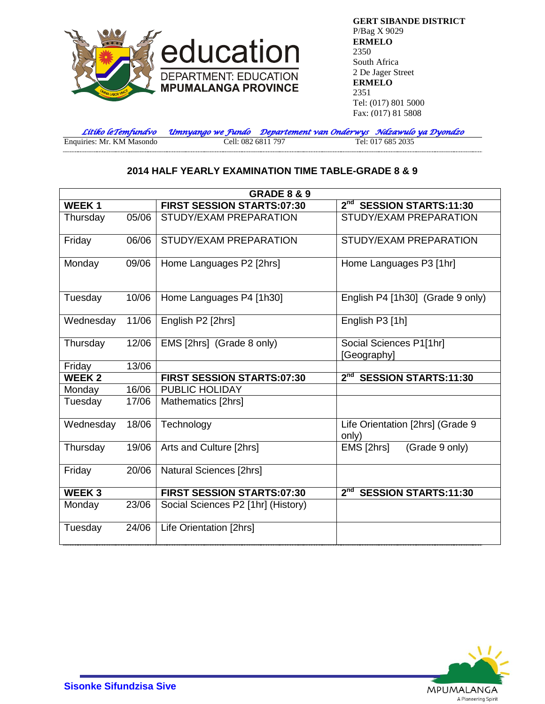

**GERT SIBANDE DISTRICT** P/Bag X 9029 **ERMELO** 2350 South Africa 2 De Jager Street **ERMELO** 2351 Tel: (017) 801 5000 Fax: (017) 81 5808

*Litiko leTemfundvo Umnyango we Fundo Departement van Onderwys Ndzawulo ya Dyondzo* Enquiries: Mr. KM Masondo

## **2014 HALF YEARLY EXAMINATION TIME TABLE-GRADE 8 & 9**

| <b>GRADE 8 &amp; 9</b> |       |                                    |                                                |  |  |
|------------------------|-------|------------------------------------|------------------------------------------------|--|--|
| <b>WEEK1</b>           |       | <b>FIRST SESSION STARTS:07:30</b>  | 2 <sup>nd</sup> SESSION STARTS:11:30           |  |  |
| Thursday               | 05/06 | STUDY/EXAM PREPARATION             | STUDY/EXAM PREPARATION                         |  |  |
| Friday                 | 06/06 | STUDY/EXAM PREPARATION             | STUDY/EXAM PREPARATION                         |  |  |
| Monday                 | 09/06 | Home Languages P2 [2hrs]           | Home Languages P3 [1hr]                        |  |  |
| Tuesday                | 10/06 | Home Languages P4 [1h30]           | English P4 [1h30] (Grade 9 only)               |  |  |
| Wednesday              | 11/06 | English P2 [2hrs]                  | English P3 [1h]                                |  |  |
| Thursday               | 12/06 | EMS [2hrs] (Grade 8 only)          | Social Sciences P1[1hr]<br>[Geography]         |  |  |
| Friday                 | 13/06 |                                    |                                                |  |  |
| <b>WEEK2</b>           |       | <b>FIRST SESSION STARTS:07:30</b>  | 2 <sup>nd</sup> SESSION STARTS:11:30           |  |  |
| Monday                 | 16/06 | PUBLIC HOLIDAY                     |                                                |  |  |
| Tuesday                | 17/06 | Mathematics [2hrs]                 |                                                |  |  |
| Wednesday              | 18/06 | Technology                         | Life Orientation [2hrs] (Grade 9<br>only)      |  |  |
| Thursday               | 19/06 | Arts and Culture [2hrs]            | EMS [2hrs]<br>(Grade 9 only)                   |  |  |
| Friday                 | 20/06 | Natural Sciences [2hrs]            |                                                |  |  |
| <b>WEEK3</b>           |       | <b>FIRST SESSION STARTS:07:30</b>  | 2 <sup>nd</sup><br><b>SESSION STARTS:11:30</b> |  |  |
| Monday                 | 23/06 | Social Sciences P2 [1hr] (History) |                                                |  |  |
| Tuesday                | 24/06 | Life Orientation [2hrs]            |                                                |  |  |

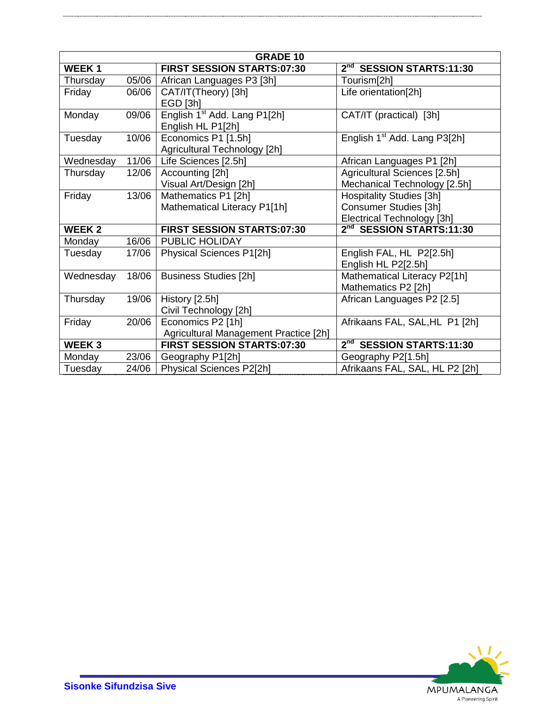| <b>GRADE 10</b> |       |                                          |                                                |  |  |
|-----------------|-------|------------------------------------------|------------------------------------------------|--|--|
| <b>WEEK1</b>    |       | <b>FIRST SESSION STARTS:07:30</b>        | 2 <sup>nd</sup> SESSION STARTS:11:30           |  |  |
| Thursday        | 05/06 | African Languages P3 [3h]                | Tourism[2h]                                    |  |  |
| Friday          | 06/06 | CAT/IT(Theory) [3h]                      | Life orientation[2h]                           |  |  |
|                 |       | EGD [3h]                                 |                                                |  |  |
| Monday          | 09/06 | English 1 <sup>st</sup> Add. Lang P1[2h] | CAT/IT (practical) [3h]                        |  |  |
|                 |       | English HL P1[2h]                        |                                                |  |  |
| Tuesday         | 10/06 | Economics P1 [1.5h]                      | English 1 <sup>st</sup> Add. Lang P3[2h]       |  |  |
|                 |       | Agricultural Technology [2h]             |                                                |  |  |
| Wednesday       | 11/06 | Life Sciences [2.5h]                     | African Languages P1 [2h]                      |  |  |
| Thursday        | 12/06 | Accounting [2h]                          | Agricultural Sciences [2.5h]                   |  |  |
|                 |       | Visual Art/Design [2h]                   | Mechanical Technology [2.5h]                   |  |  |
| Friday          | 13/06 | Mathematics P1 [2h]                      | Hospitality Studies [3h]                       |  |  |
|                 |       | Mathematical Literacy P1[1h]             | Consumer Studies [3h]                          |  |  |
|                 |       |                                          | Electrical Technology [3h]                     |  |  |
| <b>WEEK 2</b>   |       | <b>FIRST SESSION STARTS:07:30</b>        | 2 <sup>nd</sup> SESSION STARTS:11:30           |  |  |
| Monday          | 16/06 | PUBLIC HOLIDAY                           |                                                |  |  |
| Tuesday         | 17/06 | Physical Sciences P1[2h]                 | English FAL, HL P2[2.5h]                       |  |  |
|                 |       |                                          | English HL P2[2.5h]                            |  |  |
| Wednesday       | 18/06 | <b>Business Studies [2h]</b>             | Mathematical Literacy P2[1h]                   |  |  |
|                 |       |                                          | Mathematics P2 [2h]                            |  |  |
| Thursday        | 19/06 | History [2.5h]                           | African Languages P2 [2.5]                     |  |  |
|                 |       | Civil Technology [2h]                    |                                                |  |  |
| Friday          | 20/06 | Economics P2 [1h]                        | Afrikaans FAL, SAL, HL P1 [2h]                 |  |  |
|                 |       | Agricultural Management Practice [2h]    |                                                |  |  |
| <b>WEEK3</b>    |       | <b>FIRST SESSION STARTS:07:30</b>        | 2 <sup>nd</sup><br><b>SESSION STARTS:11:30</b> |  |  |
| Monday          | 23/06 | Geography P1[2h]                         | Geography P2[1.5h]                             |  |  |
| Tuesday         | 24/06 | Physical Sciences P2[2h]                 | Afrikaans FAL, SAL, HL P2 [2h]                 |  |  |

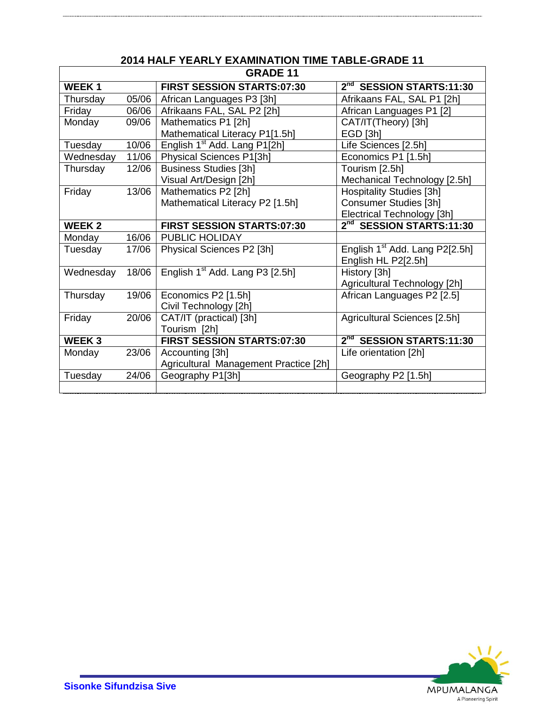| <b>GRADE 11</b>   |       |                                             |                                            |  |  |
|-------------------|-------|---------------------------------------------|--------------------------------------------|--|--|
| WEEK <sub>1</sub> |       | FIRST SESSION STARTS:07:30                  | 2 <sup>nd</sup> SESSION STARTS:11:30       |  |  |
| Thursday          | 05/06 | African Languages P3 [3h]                   | Afrikaans FAL, SAL P1 [2h]                 |  |  |
| Friday            | 06/06 | Afrikaans FAL, SAL P2 [2h]                  | African Languages P1 [2]                   |  |  |
| Monday            | 09/06 | Mathematics P1 [2h]                         | CAT/IT(Theory) [3h]                        |  |  |
|                   |       | Mathematical Literacy P1[1.5h]              | EGD [3h]                                   |  |  |
| Tuesday           | 10/06 | English 1 <sup>st</sup> Add. Lang P1[2h]    | Life Sciences [2.5h]                       |  |  |
| Wednesday         | 11/06 | Physical Sciences P1[3h]                    | Economics P1 [1.5h]                        |  |  |
| Thursday          | 12/06 | <b>Business Studies [3h]</b>                | Tourism [2.5h]                             |  |  |
|                   |       | Visual Art/Design [2h]                      | Mechanical Technology [2.5h]               |  |  |
| Friday            | 13/06 | Mathematics P2 [2h]                         | <b>Hospitality Studies [3h]</b>            |  |  |
|                   |       | Mathematical Literacy P2 [1.5h]             | Consumer Studies [3h]                      |  |  |
|                   |       |                                             | Electrical Technology [3h]                 |  |  |
| <b>WEEK2</b>      |       | <b>FIRST SESSION STARTS:07:30</b>           | 2 <sup>nd</sup> SESSION STARTS:11:30       |  |  |
| Monday            | 16/06 | PUBLIC HOLIDAY                              |                                            |  |  |
| Tuesday           | 17/06 | Physical Sciences P2 [3h]                   | English 1 <sup>st</sup> Add. Lang P2[2.5h] |  |  |
|                   |       |                                             | English HL P2[2.5h]                        |  |  |
| Wednesday         | 18/06 | English 1 <sup>st</sup> Add. Lang P3 [2.5h] | History [3h]                               |  |  |
|                   |       |                                             | Agricultural Technology [2h]               |  |  |
| Thursday          | 19/06 | Economics P2 [1.5h]                         | African Languages P2 [2.5]                 |  |  |
|                   |       | Civil Technology [2h]                       |                                            |  |  |
| Friday            | 20/06 | CAT/IT (practical) [3h]                     | Agricultural Sciences [2.5h]               |  |  |
|                   |       | Tourism [2h]                                |                                            |  |  |
| <b>WEEK3</b>      |       | FIRST SESSION STARTS:07:30                  | 2 <sup>nd</sup> SESSION STARTS:11:30       |  |  |
| Monday            | 23/06 | Accounting [3h]                             | Life orientation [2h]                      |  |  |
|                   |       | Agricultural Management Practice [2h]       |                                            |  |  |
| Tuesday           | 24/06 | Geography P1[3h]                            | Geography P2 [1.5h]                        |  |  |
|                   |       |                                             |                                            |  |  |

## **2014 HALF YEARLY EXAMINATION TIME TABLE-GRADE 11**